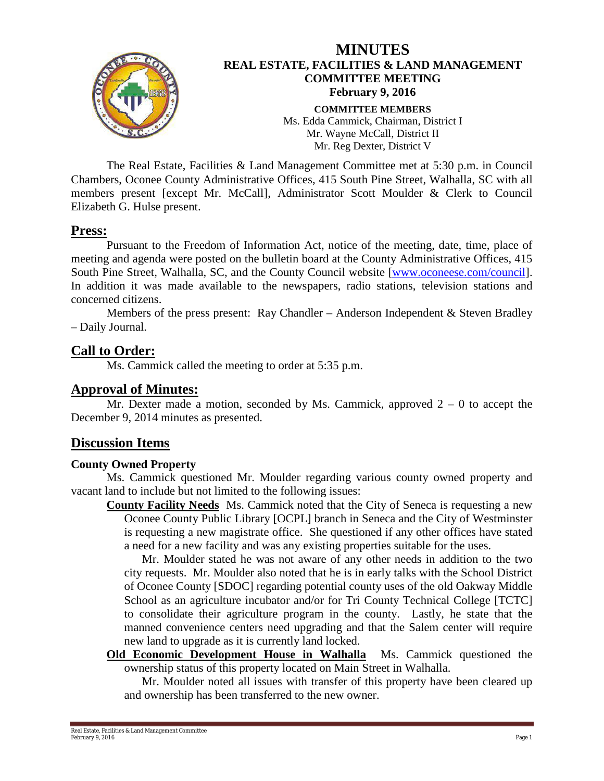

The Real Estate, Facilities & Land Management Committee met at 5:30 p.m. in Council Chambers, Oconee County Administrative Offices, 415 South Pine Street, Walhalla, SC with all members present [except Mr. McCall], Administrator Scott Moulder & Clerk to Council Elizabeth G. Hulse present.

#### **Press:**

Pursuant to the Freedom of Information Act, notice of the meeting, date, time, place of meeting and agenda were posted on the bulletin board at the County Administrative Offices, 415 South Pine Street, Walhalla, SC, and the County Council website [\[www.oconeese.com/council\]](http://www.oconeese.com/council). In addition it was made available to the newspapers, radio stations, television stations and concerned citizens.

Members of the press present: Ray Chandler – Anderson Independent & Steven Bradley – Daily Journal.

## **Call to Order:**

Ms. Cammick called the meeting to order at 5:35 p.m.

#### **Approval of Minutes:**

Mr. Dexter made a motion, seconded by Ms. Cammick, approved  $2 - 0$  to accept the December 9, 2014 minutes as presented.

## **Discussion Items**

#### **County Owned Property**

Ms. Cammick questioned Mr. Moulder regarding various county owned property and vacant land to include but not limited to the following issues:

**County Facility Needs** Ms. Cammick noted that the City of Seneca is requesting a new Oconee County Public Library [OCPL] branch in Seneca and the City of Westminster is requesting a new magistrate office. She questioned if any other offices have stated a need for a new facility and was any existing properties suitable for the uses.

Mr. Moulder stated he was not aware of any other needs in addition to the two city requests. Mr. Moulder also noted that he is in early talks with the School District of Oconee County [SDOC] regarding potential county uses of the old Oakway Middle School as an agriculture incubator and/or for Tri County Technical College [TCTC] to consolidate their agriculture program in the county. Lastly, he state that the manned convenience centers need upgrading and that the Salem center will require new land to upgrade as it is currently land locked.

**Old Economic Development House in Walhalla** Ms. Cammick questioned the ownership status of this property located on Main Street in Walhalla.

Mr. Moulder noted all issues with transfer of this property have been cleared up and ownership has been transferred to the new owner.